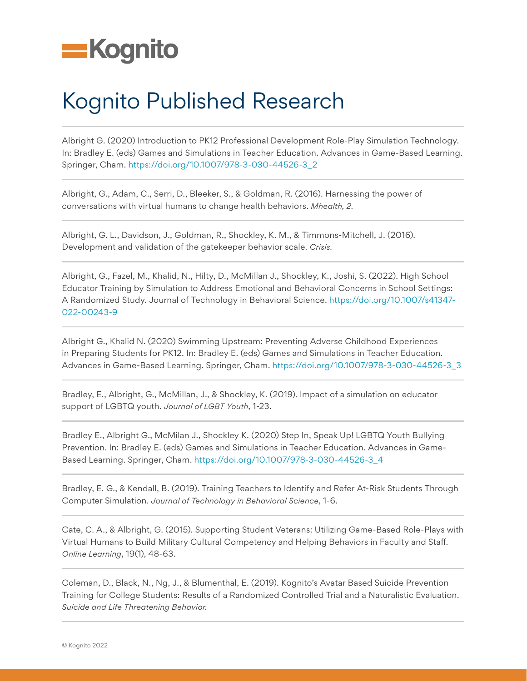

## Kognito Published Research

Albright G. (2020) Introduction to PK12 Professional Development Role-Play Simulation Technology. In: Bradley E. (eds) Games and Simulations in Teacher Education. Advances in Game-Based Learning. Springer, Cham. [https://doi.org/10.1007/978-3-030-44526-3\\_2](https://doi.org/10.1007/978-3-030-44526-3_2)

Albright, G., Adam, C., Serri, D., Bleeker, S., & Goldman, R. (2016). Harnessing the power of conversations with virtual humans to change health behaviors. *Mhealth, 2.*

Albright, G. L., Davidson, J., Goldman, R., Shockley, K. M., & Timmons-Mitchell, J. (2016). Development and validation of the gatekeeper behavior scale. *Crisis.*

Albright, G., Fazel, M., Khalid, N., Hilty, D., McMillan J., Shockley, K., Joshi, S. (2022). High School Educator Training by Simulation to Address Emotional and Behavioral Concerns in School Settings: A Randomized Study. Journal of Technology in Behavioral Science. [https://doi.org/10.1007/s41347-](https://doi.org/10.1007/s41347-022-00243-9) [022-00243-9](https://doi.org/10.1007/s41347-022-00243-9)

Albright G., Khalid N. (2020) Swimming Upstream: Preventing Adverse Childhood Experiences in Preparing Students for PK12. In: Bradley E. (eds) Games and Simulations in Teacher Education. Advances in Game-Based Learning. Springer, Cham. [https://doi.org/10.1007/978-3-030-44526-3\\_3](https://doi.org/10.1007/978-3-030-44526-3_3)

Bradley, E., Albright, G., McMillan, J., & Shockley, K. (2019). Impact of a simulation on educator support of LGBTQ youth. *Journal of LGBT Youth*, 1-23.

Bradley E., Albright G., McMilan J., Shockley K. (2020) Step In, Speak Up! LGBTQ Youth Bullying Prevention. In: Bradley E. (eds) Games and Simulations in Teacher Education. Advances in Game-Based Learning. Springer, Cham. [https://doi.org/10.1007/978-3-030-44526-3\\_4](https://doi.org/10.1007/978-3-030-44526-3_4)

Bradley, E. G., & Kendall, B. (2019). Training Teachers to Identify and Refer At-Risk Students Through Computer Simulation. *Journal of Technology in Behavioral Science*, 1-6.

Cate, C. A., & Albright, G. (2015). Supporting Student Veterans: Utilizing Game-Based Role-Plays with Virtual Humans to Build Military Cultural Competency and Helping Behaviors in Faculty and Staff. *Online Learning*, 19(1), 48-63.

Coleman, D., Black, N., Ng, J., & Blumenthal, E. (2019). Kognito's Avatar Based Suicide Prevention Training for College Students: Results of a Randomized Controlled Trial and a Naturalistic Evaluation. *Suicide and Life Threatening Behavior.*